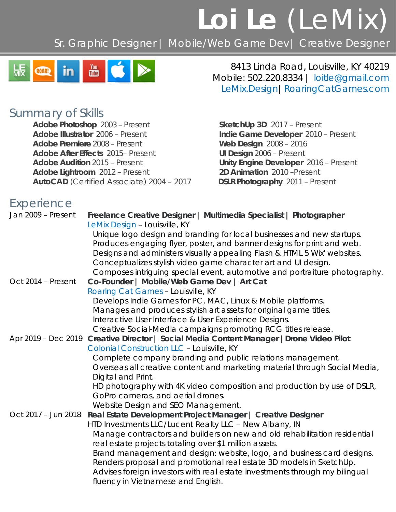# **Loi Le** (LeMix)

Sr. Graphic Designer | Mobile/Web Game Dev| Creative Designer



8413 Linda Road, Louisville, KY 40219 Mobile: 502.220.8334 | [loitle@gmail.com](mailto:loitle@gmail.com) [LeMix.Design](http://www.lemix.design/)[|RoaringCatGames.com](http://www.roaringcatgames.com/)

### *Summary of Skills*

**Adobe Photoshop** 2003 – Present **SketchUp 3D** 2017 – Present **Adobe Illustrator** 2006 – Present **Indie Game Developer** 2010 – Present **Adobe Premiere** 2008 – Present **Web Design** 2008 – 2016 **Adobe After Effects** 2015– Present **UI Design** 2006 – Present **Adobe Audition** 2015 – Present **Unity Engine Developer** 2016 – Present **Adobe Lightroom** 2012 – Present **2016 2D Animation** 2010 – Present **Adobe Lightroom** 2012 – Present **AutoCAD** (Certified Associate) 2004 – 2017 **DSLR Photography** 2011 – Present

## *Experience*

| Jan 2009 - Present  | Freelance Creative Designer   Multimedia Specialist   Photographer<br>LeMix Design - Louisville, KY                                           |
|---------------------|-----------------------------------------------------------------------------------------------------------------------------------------------|
|                     | Unique logo design and branding for local businesses and new startups.                                                                        |
|                     | Produces engaging flyer, poster, and banner designs for print and web.                                                                        |
|                     | Designs and administers visually appealing Flash & HTML 5 Wix' websites.                                                                      |
|                     | Conceptualizes stylish video game character art and UI design.                                                                                |
| Oct 2014 - Present  | Composes intriguing special event, automotive and portraiture photography.<br>Co-Founder   Mobile/Web Game Dev   Art Cat                      |
|                     | Roaring Cat Games - Louisville, KY                                                                                                            |
|                     | Develops Indie Games for PC, MAC, Linux & Mobile platforms.                                                                                   |
|                     | Manages and produces stylish art assets for original game titles.                                                                             |
|                     | Interactive User Interface & User Experience Designs.                                                                                         |
|                     | Creative Social-Media campaigns promoting RCG titles release.                                                                                 |
|                     | Apr 2019 - Dec 2019 Creative Director   Social Media Content Manager   Drone Video Pilot                                                      |
|                     | <b>Colonial Construction LLC - Louisville, KY</b>                                                                                             |
|                     | Complete company branding and public relations management.                                                                                    |
|                     | Overseas all creative content and marketing material through Social Media,                                                                    |
|                     | Digital and Print.                                                                                                                            |
|                     | HD photography with 4K video composition and production by use of DSLR,                                                                       |
|                     | GoPro cameras, and aerial drones.                                                                                                             |
|                     | Website Design and SEO Management.                                                                                                            |
| Oct 2017 - Jun 2018 | Real Estate Development Project Manager   Creative Designer                                                                                   |
|                     | HTD Investments LLC/Lucent Realty LLC - New Albany, IN                                                                                        |
|                     | Manage contractors and builders on new and old rehabilitation residential                                                                     |
|                     | real estate projects totaling over \$1 million assets.                                                                                        |
|                     | Brand management and design: website, logo, and business card designs.<br>Renders proposal and promotional real estate 3D models in SketchUp. |
|                     | Advises foreign investors with real estate investments through my bilingual<br>fluency in Vietnamese and English.                             |
|                     |                                                                                                                                               |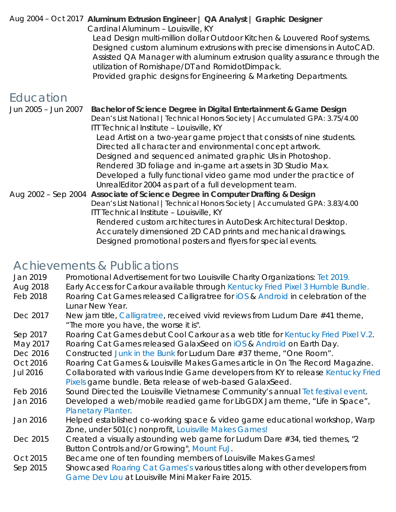#### Aug 2004 – Oct 2017 **Aluminum Extrusion Engineer | QA Analyst | Graphic Designer**

*Cardinal Aluminum – Louisville, KY*

Lead Design multi-million dollar Outdoor Kitchen & Louvered Roof systems. Designed custom aluminum extrusions with precise dimensions in AutoCAD. Assisted QA Manager with aluminum extrusion quality assurance through the utilization of Romishape/DT and RomidotDimpack.

Provided graphic designs for Engineering & Marketing Departments.

## *Education*

Jun 2005 – Jun 2007 **Bachelor of Science Degree in Digital Entertainment & Game Design**  *Dean's List National |Technical Honors Society |Accumulated GPA: 3.75/4.00 ITT Technical Institute – Louisville, KY* Lead Artist on a two-year game project that consists of nine students. Directed all character and environmental concept artwork. Designed and sequenced animated graphic UIs in Photoshop. Rendered 3D foliage and in-game art assets in 3D Studio Max. Developed a fully functional video game mod under the practice of UnrealEditor 2004 as part of a full development team. Aug 2002 – Sep 2004 **Associate of Science Degree in Computer Drafting & Design**  *Dean's List National |Technical Honors Society |Accumulated GPA: 3.83/4.00 ITT Technical Institute – Louisville, KY* Rendered custom architectures in AutoDesk Architectural Desktop. Accurately dimensioned 2D CAD prints and mechanical drawings. Designed promotional posters and flyers for special events.

## *Achievements & Publications*

| Promotional Advertisement for two Louisville Charity Organizations: Tet 2019.<br>Jan 2019 |  |
|-------------------------------------------------------------------------------------------|--|
|-------------------------------------------------------------------------------------------|--|

- Aug 2018 Early Access for Carkour available through *[Kentucky Fried Pixel 3 Humble Bundle.](https://roaringcatgames.itch.io/carkour)*
- Feb 2018 Roaring Cat Games released Calligratree for *[iOS](https://itunes.apple.com/us/app/calligratree/id1333362973?ign-mpt=uo%3D8)* & *[Android](https://play.google.com/store/apps/details?id=com.roaringcatgames.calligratree)* in celebration of the Lunar New Year.
- Dec 2017 New jam title, *[Calligratree](https://ldjam.com/events/ludum-dare/40/calligratree)*, received vivid reviews from Ludum Dare #41 theme, "The more you have, the worse it is".
- Sep 2017 Roaring Cat Games debut Cool Carkour as a web title for *[Kentucky Fried Pixel V.2](https://itch.io/b/194/kentucky-fried-pixels-2)*.
- May 2017 Roaring Cat Games released GalaxSeed on *[iOS](http://bit.ly/GalaxSeediOS)* & *[Android](http://bit.ly/GalaxSeedAndroid)* on Earth Day.
- Dec 2016 Constructed *[Junk in the Bunk](http://ludumdare.com/compo/ludum-dare-37/?action=preview&uid=58120)* for Ludum Dare #37 theme, "One Room".
- Oct 2016 Roaring Cat Games & Louisville Makes Games article in On The Record Magazine.
- Jul 2016 Collaborated with various Indie Game developers from KY to release *[Kentucky Fried](https://itch.io/b/122/kentucky-fried-pixels)  [Pixels](https://itch.io/b/122/kentucky-fried-pixels)* game bundle. Beta release of web-based GalaxSeed.
- Feb 2016 Sound Directed the Louisville Vietnamese Community's annual *[Tet festival event](https://www.loilemix.me/single-post/2016/02/04/Ch%C3%BAc-M%E1%BB%ABng-N%C4%83m-M%E1%BB%9Bi)*.
- Jan 2016 Developed a web/mobile readied game for LibGDX Jam theme, "Life in Space", *[Planetary Planter](http://roaringcatgames.itch.io/planetary-planter)*.
- Jan 2016 Helped established co-working space & video game educational workshop, Warp Zone, under 501(c) nonprofit, *[Louisville Makes Games!](http://louisvillemakesgames.org/)*
- Dec 2015 Created a visually astounding web game for Ludum Dare #34, tied themes, "2 Button Controls and/or Growing", *[Mount FuJ.](http://ludumdare.com/compo/ludum-dare-34/?action=preview&uid=58120)*
- Oct 2015 Became one of ten founding members of *Louisville Makes Games!*
- Sep 2015 Showcased *[Roaring Cat Games'](http://roaringcatgames.com/)s* various titles along with other developers from *[Game Dev Lou](http://www.gamedevlou.org/)* at Louisville Mini Maker Faire 2015.